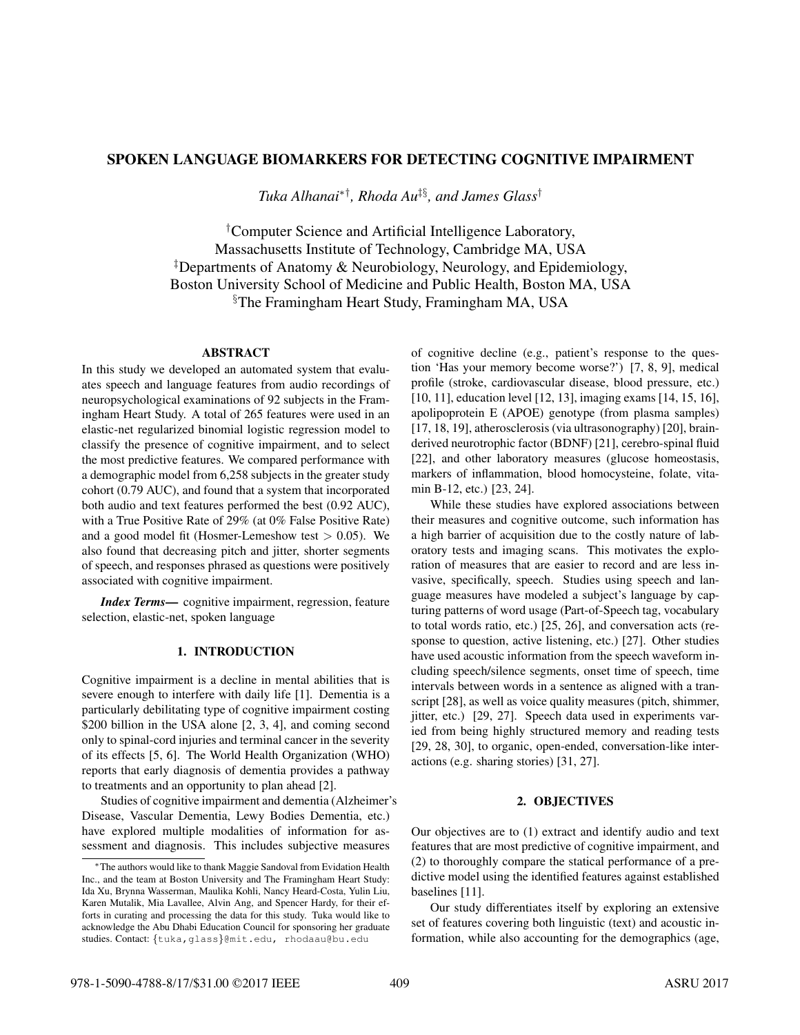# SPOKEN LANGUAGE BIOMARKERS FOR DETECTING COGNITIVE IMPAIRMENT

*Tuka Alhanai*∗†*, Rhoda Au*‡§*, and James Glass*†

†Computer Science and Artificial Intelligence Laboratory, Massachusetts Institute of Technology, Cambridge MA, USA ‡Departments of Anatomy & Neurobiology, Neurology, and Epidemiology, Boston University School of Medicine and Public Health, Boston MA, USA §The Framingham Heart Study, Framingham MA, USA

# ABSTRACT

In this study we developed an automated system that evaluates speech and language features from audio recordings of neuropsychological examinations of 92 subjects in the Framingham Heart Study. A total of 265 features were used in an elastic-net regularized binomial logistic regression model to classify the presence of cognitive impairment, and to select the most predictive features. We compared performance with a demographic model from 6,258 subjects in the greater study cohort (0.79 AUC), and found that a system that incorporated both audio and text features performed the best (0.92 AUC), with a True Positive Rate of 29% (at 0% False Positive Rate) and a good model fit (Hosmer-Lemeshow test  $> 0.05$ ). We also found that decreasing pitch and jitter, shorter segments of speech, and responses phrased as questions were positively associated with cognitive impairment.

*Index Terms*— cognitive impairment, regression, feature selection, elastic-net, spoken language

### 1. INTRODUCTION

Cognitive impairment is a decline in mental abilities that is severe enough to interfere with daily life [1]. Dementia is a particularly debilitating type of cognitive impairment costing \$200 billion in the USA alone [2, 3, 4], and coming second only to spinal-cord injuries and terminal cancer in the severity of its effects [5, 6]. The World Health Organization (WHO) reports that early diagnosis of dementia provides a pathway to treatments and an opportunity to plan ahead [2].

Studies of cognitive impairment and dementia (Alzheimer's Disease, Vascular Dementia, Lewy Bodies Dementia, etc.) have explored multiple modalities of information for assessment and diagnosis. This includes subjective measures

of cognitive decline (e.g., patient's response to the question 'Has your memory become worse?') [7, 8, 9], medical profile (stroke, cardiovascular disease, blood pressure, etc.) [10, 11], education level [12, 13], imaging exams [14, 15, 16], apolipoprotein E (APOE) genotype (from plasma samples) [17, 18, 19], atherosclerosis (via ultrasonography) [20], brainderived neurotrophic factor (BDNF) [21], cerebro-spinal fluid [22], and other laboratory measures (glucose homeostasis, markers of inflammation, blood homocysteine, folate, vitamin B-12, etc.) [23, 24].

While these studies have explored associations between their measures and cognitive outcome, such information has a high barrier of acquisition due to the costly nature of laboratory tests and imaging scans. This motivates the exploration of measures that are easier to record and are less invasive, specifically, speech. Studies using speech and language measures have modeled a subject's language by capturing patterns of word usage (Part-of-Speech tag, vocabulary to total words ratio, etc.) [25, 26], and conversation acts (response to question, active listening, etc.) [27]. Other studies have used acoustic information from the speech waveform including speech/silence segments, onset time of speech, time intervals between words in a sentence as aligned with a transcript [28], as well as voice quality measures (pitch, shimmer, jitter, etc.) [29, 27]. Speech data used in experiments varied from being highly structured memory and reading tests [29, 28, 30], to organic, open-ended, conversation-like interactions (e.g. sharing stories) [31, 27].

# 2. OBJECTIVES

Our objectives are to (1) extract and identify audio and text features that are most predictive of cognitive impairment, and (2) to thoroughly compare the statical performance of a predictive model using the identified features against established baselines [11].

Our study differentiates itself by exploring an extensive set of features covering both linguistic (text) and acoustic information, while also accounting for the demographics (age,

<sup>∗</sup>The authors would like to thank Maggie Sandoval from Evidation Health Inc., and the team at Boston University and The Framingham Heart Study: Ida Xu, Brynna Wasserman, Maulika Kohli, Nancy Heard-Costa, Yulin Liu, Karen Mutalik, Mia Lavallee, Alvin Ang, and Spencer Hardy, for their efforts in curating and processing the data for this study. Tuka would like to acknowledge the Abu Dhabi Education Council for sponsoring her graduate studies. Contact: {tuka,glass}@mit.edu, rhodaau@bu.edu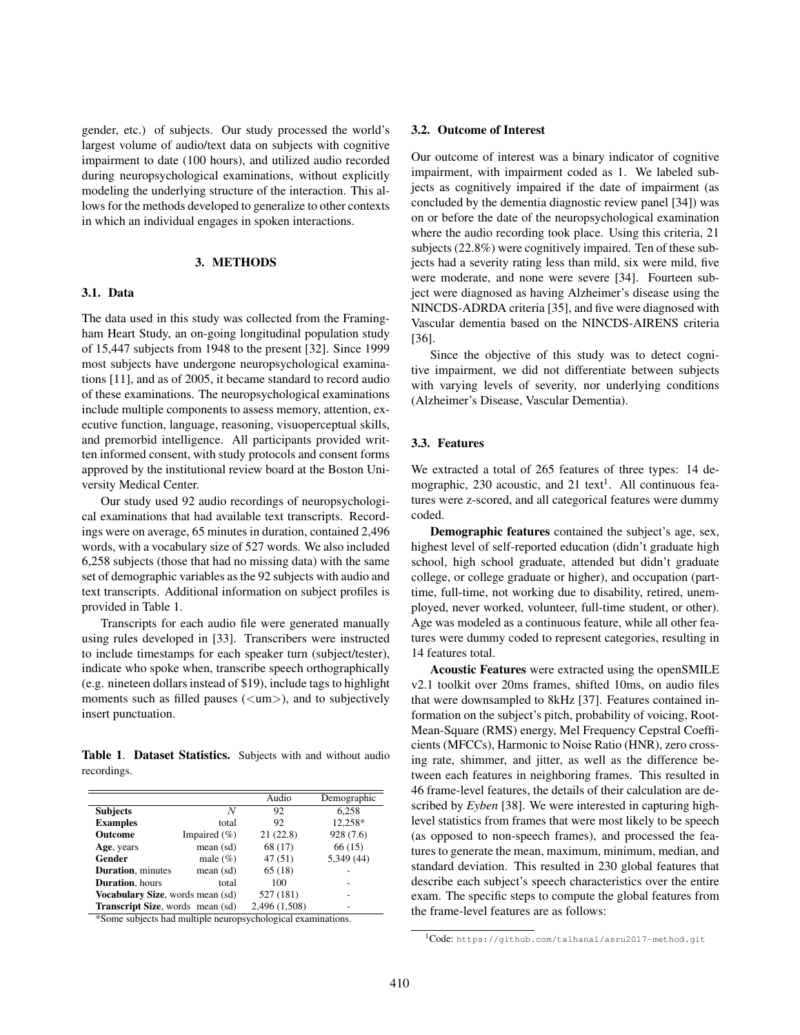gender, etc.) of subjects. Our study processed the world's largest volume of audio/text data on subjects with cognitive impairment to date (100 hours), and utilized audio recorded during neuropsychological examinations, without explicitly modeling the underlying structure of the interaction. This allows for the methods developed to generalize to other contexts in which an individual engages in spoken interactions.

## 3. METHODS

# 3.1. Data

The data used in this study was collected from the Framingham Heart Study, an on-going longitudinal population study of 15,447 subjects from 1948 to the present [32]. Since 1999 most subjects have undergone neuropsychological examinations [11], and as of 2005, it became standard to record audio of these examinations. The neuropsychological examinations include multiple components to assess memory, attention, executive function, language, reasoning, visuoperceptual skills, and premorbid intelligence. All participants provided written informed consent, with study protocols and consent forms approved by the institutional review board at the Boston University Medical Center.

Our study used 92 audio recordings of neuropsychological examinations that had available text transcripts. Recordings were on average, 65 minutes in duration, contained 2,496 words, with a vocabulary size of 527 words. We also included 6,258 subjects (those that had no missing data) with the same set of demographic variables as the 92 subjects with audio and text transcripts. Additional information on subject profiles is provided in Table 1.

Transcripts for each audio file were generated manually using rules developed in [33]. Transcribers were instructed to include timestamps for each speaker turn (subject/tester), indicate who spoke when, transcribe speech orthographically (e.g. nineteen dollars instead of \$19), include tags to highlight moments such as filled pauses  $(\langle um \rangle)$ , and to subjectively insert punctuation.

Table 1. Dataset Statistics. Subjects with and without audio recordings.

|                                          |                  | Audio         | Demographic |
|------------------------------------------|------------------|---------------|-------------|
| <b>Subjects</b>                          | N                | 92            | 6,258       |
| <b>Examples</b>                          | total            | 92            | 12,258*     |
| Outcome                                  | Impaired $(\% )$ | 21(22.8)      | 928 (7.6)   |
| Age, years                               | mean (sd)        | 68 (17)       | 66(15)      |
| Gender                                   | male $(\%)$      | 47(51)        | 5,349 (44)  |
| <b>Duration</b> , minutes                | mean (sd)        | 65(18)        |             |
| <b>Duration</b> , hours                  | total            | 100           |             |
| Vocabulary Size, words mean (sd)         |                  | 527 (181)     |             |
| <b>Transcript Size</b> , words mean (sd) |                  | 2,496 (1,508) |             |

\*Some subjects had multiple neuropsychological examinations.

#### 3.2. Outcome of Interest

Our outcome of interest was a binary indicator of cognitive impairment, with impairment coded as 1. We labeled subjects as cognitively impaired if the date of impairment (as concluded by the dementia diagnostic review panel [34]) was on or before the date of the neuropsychological examination where the audio recording took place. Using this criteria, 21 subjects (22.8%) were cognitively impaired. Ten of these subjects had a severity rating less than mild, six were mild, five were moderate, and none were severe [34]. Fourteen subject were diagnosed as having Alzheimer's disease using the NINCDS-ADRDA criteria [35], and five were diagnosed with Vascular dementia based on the NINCDS-AIRENS criteria [36].

Since the objective of this study was to detect cognitive impairment, we did not differentiate between subjects with varying levels of severity, nor underlying conditions (Alzheimer's Disease, Vascular Dementia).

# 3.3. Features

We extracted a total of 265 features of three types: 14 demographic, 230 acoustic, and 21 text<sup>1</sup>. All continuous features were z-scored, and all categorical features were dummy coded.

Demographic features contained the subject's age, sex, highest level of self-reported education (didn't graduate high school, high school graduate, attended but didn't graduate college, or college graduate or higher), and occupation (parttime, full-time, not working due to disability, retired, unemployed, never worked, volunteer, full-time student, or other). Age was modeled as a continuous feature, while all other features were dummy coded to represent categories, resulting in 14 features total.

Acoustic Features were extracted using the openSMILE v2.1 toolkit over 20ms frames, shifted 10ms, on audio files that were downsampled to 8kHz [37]. Features contained information on the subject's pitch, probability of voicing, Root-Mean-Square (RMS) energy, Mel Frequency Cepstral Coefficients (MFCCs), Harmonic to Noise Ratio (HNR), zero crossing rate, shimmer, and jitter, as well as the difference between each features in neighboring frames. This resulted in 46 frame-level features, the details of their calculation are described by *Eyben* [38]. We were interested in capturing highlevel statistics from frames that were most likely to be speech (as opposed to non-speech frames), and processed the features to generate the mean, maximum, minimum, median, and standard deviation. This resulted in 230 global features that describe each subject's speech characteristics over the entire exam. The specific steps to compute the global features from the frame-level features are as follows:

<sup>1</sup>Code: https://github.com/talhanai/asru2017-method.git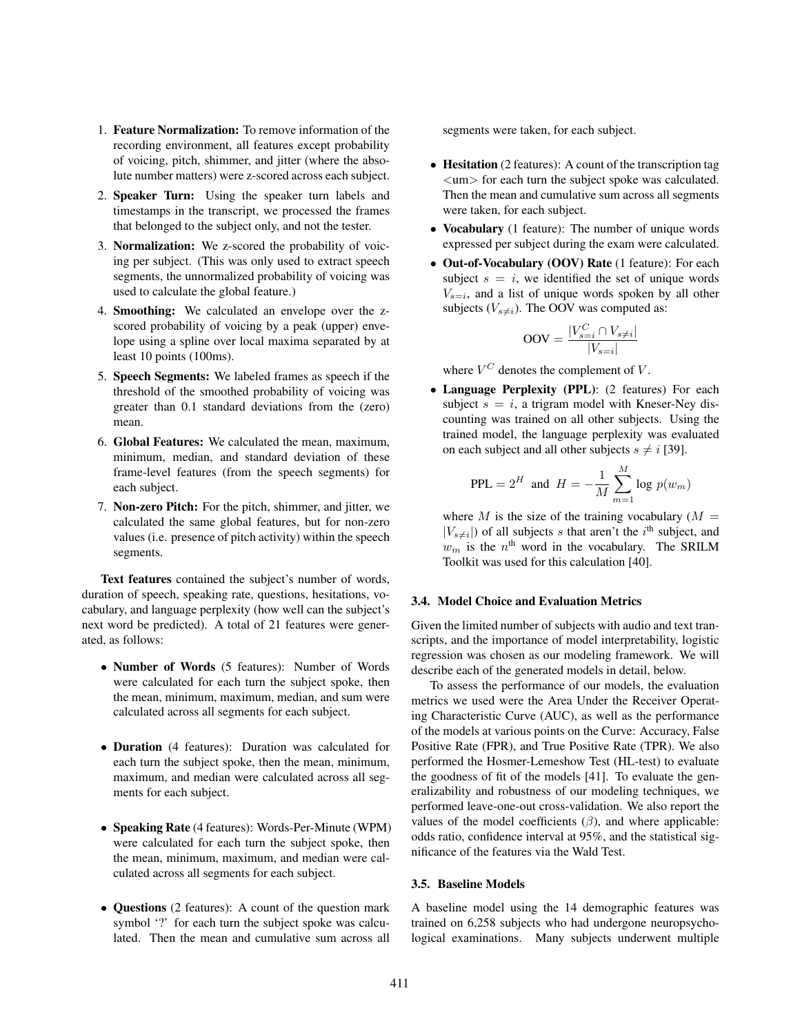- 1. Feature Normalization: To remove information of the recording environment, all features except probability of voicing, pitch, shimmer, and jitter (where the absolute number matters) were z-scored across each subject.
- 2. Speaker Turn: Using the speaker turn labels and timestamps in the transcript, we processed the frames that belonged to the subject only, and not the tester.
- 3. Normalization: We z-scored the probability of voicing per subject. (This was only used to extract speech segments, the unnormalized probability of voicing was used to calculate the global feature.)
- 4. Smoothing: We calculated an envelope over the zscored probability of voicing by a peak (upper) envelope using a spline over local maxima separated by at least 10 points (100ms).
- 5. Speech Segments: We labeled frames as speech if the threshold of the smoothed probability of voicing was greater than 0.1 standard deviations from the (zero) mean.
- 6. Global Features: We calculated the mean, maximum, minimum, median, and standard deviation of these frame-level features (from the speech segments) for each subject.
- 7. Non-zero Pitch: For the pitch, shimmer, and jitter, we calculated the same global features, but for non-zero values (i.e. presence of pitch activity) within the speech segments.

Text features contained the subject's number of words, duration of speech, speaking rate, questions, hesitations, vocabulary, and language perplexity (how well can the subject's next word be predicted). A total of 21 features were generated, as follows:

- Number of Words (5 features): Number of Words were calculated for each turn the subject spoke, then the mean, minimum, maximum, median, and sum were calculated across all segments for each subject.
- Duration (4 features): Duration was calculated for each turn the subject spoke, then the mean, minimum, maximum, and median were calculated across all segments for each subject.
- Speaking Rate (4 features): Words-Per-Minute (WPM) were calculated for each turn the subject spoke, then the mean, minimum, maximum, and median were calculated across all segments for each subject.
- Questions (2 features): A count of the question mark symbol '?' for each turn the subject spoke was calculated. Then the mean and cumulative sum across all

segments were taken, for each subject.

- Hesitation (2 features): A count of the transcription tag <um> for each turn the subject spoke was calculated. Then the mean and cumulative sum across all segments were taken, for each subject.
- Vocabulary (1 feature): The number of unique words expressed per subject during the exam were calculated.
- Out-of-Vocabulary (OOV) Rate (1 feature): For each subject  $s = i$ , we identified the set of unique words  $V_{s=i}$ , and a list of unique words spoken by all other subjects ( $V_{s\neq i}$ ). The OOV was computed as:

$$
\text{OOV} = \frac{|V_{s=i}^C \cap V_{s \neq i}|}{|V_{s=i}|}
$$

where  $V^C$  denotes the complement of V.

• Language Perplexity (PPL): (2 features) For each subject  $s = i$ , a trigram model with Kneser-Ney discounting was trained on all other subjects. Using the trained model, the language perplexity was evaluated on each subject and all other subjects  $s \neq i$  [39].

$$
\text{PPL} = 2^H \text{ and } H = -\frac{1}{M} \sum_{m=1}^{M} \log p(w_m)
$$

where M is the size of the training vocabulary  $(M =$  $|V_{s\neq i}|$ ) of all subjects s that aren't the i<sup>th</sup> subject, and  $w_m$  is the  $n^{\text{th}}$  word in the vocabulary. The SRILM Toolkit was used for this calculation [40].

### 3.4. Model Choice and Evaluation Metrics

Given the limited number of subjects with audio and text transcripts, and the importance of model interpretability, logistic regression was chosen as our modeling framework. We will describe each of the generated models in detail, below.

To assess the performance of our models, the evaluation metrics we used were the Area Under the Receiver Operating Characteristic Curve (AUC), as well as the performance of the models at various points on the Curve: Accuracy, False Positive Rate (FPR), and True Positive Rate (TPR). We also performed the Hosmer-Lemeshow Test (HL-test) to evaluate the goodness of fit of the models [41]. To evaluate the generalizability and robustness of our modeling techniques, we performed leave-one-out cross-validation. We also report the values of the model coefficients  $(\beta)$ , and where applicable: odds ratio, confidence interval at 95%, and the statistical significance of the features via the Wald Test.

# 3.5. Baseline Models

A baseline model using the 14 demographic features was trained on 6,258 subjects who had undergone neuropsychological examinations. Many subjects underwent multiple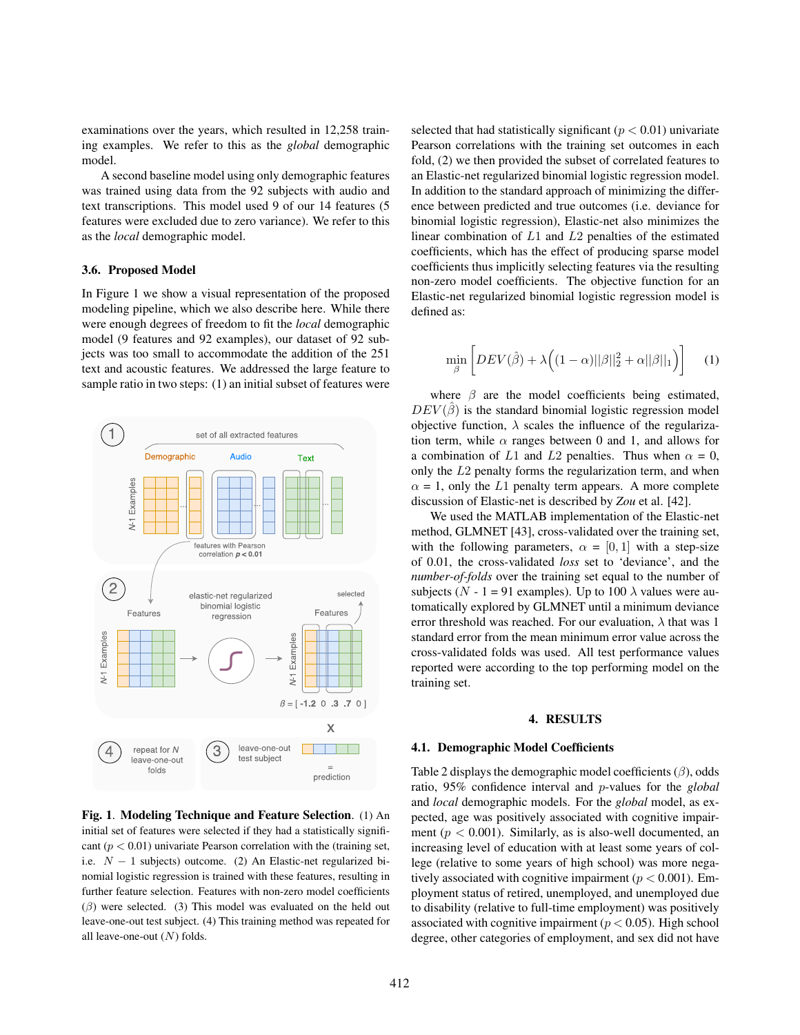examinations over the years, which resulted in 12,258 training examples. We refer to this as the *global* demographic model.

A second baseline model using only demographic features was trained using data from the 92 subjects with audio and text transcriptions. This model used 9 of our 14 features (5 features were excluded due to zero variance). We refer to this as the *local* demographic model.

## 3.6. Proposed Model

In Figure 1 we show a visual representation of the proposed modeling pipeline, which we also describe here. While there were enough degrees of freedom to fit the *local* demographic model (9 features and 92 examples), our dataset of 92 subjects was too small to accommodate the addition of the 251 text and acoustic features. We addressed the large feature to sample ratio in two steps: (1) an initial subset of features were



Fig. 1. Modeling Technique and Feature Selection. (1) An initial set of features were selected if they had a statistically significant ( $p < 0.01$ ) univariate Pearson correlation with the (training set, i.e.  $N - 1$  subjects) outcome. (2) An Elastic-net regularized binomial logistic regression is trained with these features, resulting in further feature selection. Features with non-zero model coefficients  $(\beta)$  were selected. (3) This model was evaluated on the held out leave-one-out test subject. (4) This training method was repeated for all leave-one-out  $(N)$  folds.

selected that had statistically significant ( $p < 0.01$ ) univariate Pearson correlations with the training set outcomes in each fold, (2) we then provided the subset of correlated features to an Elastic-net regularized binomial logistic regression model. In addition to the standard approach of minimizing the difference between predicted and true outcomes (i.e. deviance for binomial logistic regression), Elastic-net also minimizes the linear combination of L1 and L2 penalties of the estimated coefficients, which has the effect of producing sparse model coefficients thus implicitly selecting features via the resulting non-zero model coefficients. The objective function for an Elastic-net regularized binomial logistic regression model is defined as:

$$
\min_{\hat{\beta}} \left[ DEV(\hat{\beta}) + \lambda \Big( (1 - \alpha) ||\beta||_2^2 + \alpha ||\beta||_1 \Big) \right] \tag{1}
$$

where  $\beta$  are the model coefficients being estimated,  $DEV(\hat{\beta})$  is the standard binomial logistic regression model objective function,  $\lambda$  scales the influence of the regularization term, while  $\alpha$  ranges between 0 and 1, and allows for a combination of L1 and L2 penalties. Thus when  $\alpha = 0$ , only the L2 penalty forms the regularization term, and when  $\alpha = 1$ , only the L1 penalty term appears. A more complete discussion of Elastic-net is described by *Zou* et al. [42].

We used the MATLAB implementation of the Elastic-net method, GLMNET [43], cross-validated over the training set, with the following parameters,  $\alpha = [0, 1]$  with a step-size of 0.01, the cross-validated *loss* set to 'deviance', and the *number-of-folds* over the training set equal to the number of subjects ( $N - 1 = 91$  examples). Up to 100  $\lambda$  values were automatically explored by GLMNET until a minimum deviance error threshold was reached. For our evaluation,  $\lambda$  that was 1 standard error from the mean minimum error value across the cross-validated folds was used. All test performance values reported were according to the top performing model on the training set.

# 4. RESULTS

#### 4.1. Demographic Model Coefficients

Table 2 displays the demographic model coefficients  $(\beta)$ , odds ratio, 95% confidence interval and p-values for the *global* and *local* demographic models. For the *global* model, as expected, age was positively associated with cognitive impairment ( $p < 0.001$ ). Similarly, as is also-well documented, an increasing level of education with at least some years of college (relative to some years of high school) was more negatively associated with cognitive impairment ( $p < 0.001$ ). Employment status of retired, unemployed, and unemployed due to disability (relative to full-time employment) was positively associated with cognitive impairment ( $p < 0.05$ ). High school degree, other categories of employment, and sex did not have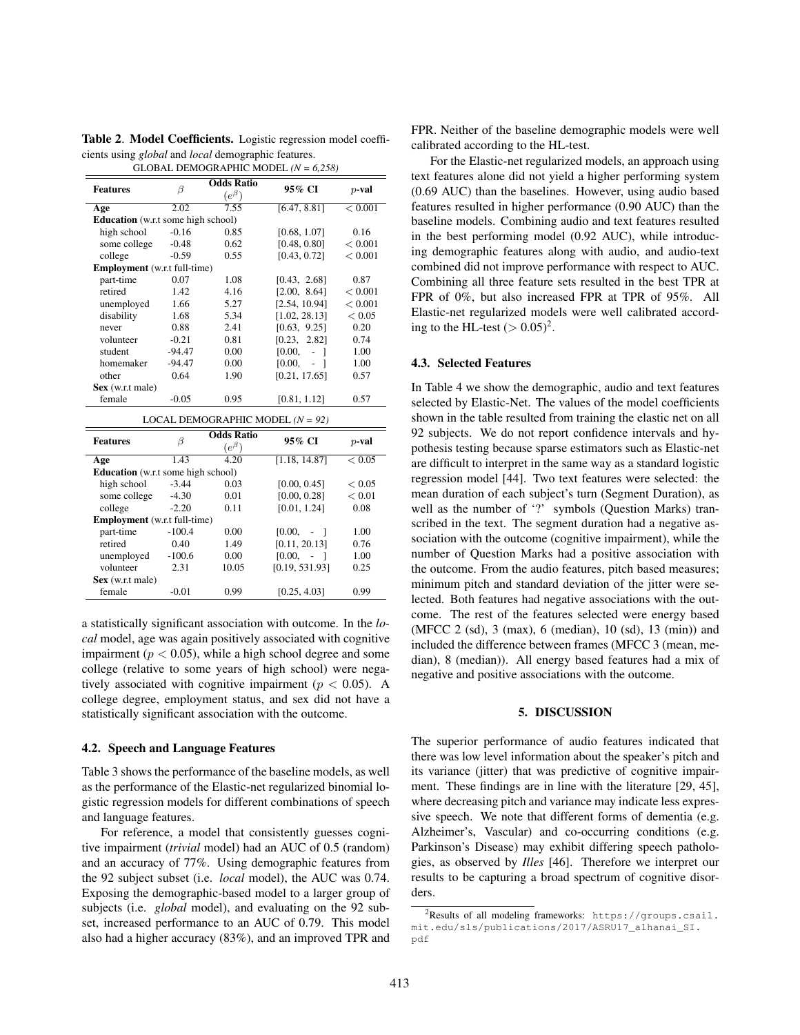Table 2. Model Coefficients. Logistic regression model coefficients using *global* and *local* demographic features. GLOBAL DEMOGRAPHIC MODEL *(N = 6,258)*

Features  $\beta$ Odds Ratio  $(e^{\beta})$ 95% CI p-val Age 2.02 7.55  $[6.47, 8.81] < 0.001$ **Education** (w.r.t some high school)<br>high school -0.16 0.85 high school -0.16 0.85 [0.68, 1.07] 0.16 some college -0.48 0.62 [0.48, 0.80]  $< 0.001$ college -0.59 0.55 [0.43, 0.72] < 0.001 **Employment** (w.r.t full-time)<br>part-time 0.07 part-time 0.07 1.08 [0.43, 2.68] 0.87<br>retired 1.42 4.16 [2.00. 8.641 < 0.00 1.42  $4.16$   $[2.00, 8.64] < 0.001$ unemployed 1.66 5.27 [2.54, 10.94]  $< 0.001$ disability 1.68 5.34 [1.02, 28.13] < 0.05 never 0.88 2.41 [0.63, 9.25] 0.20 volunteer -0.21 0.81 [0.23, 2.82] 0.74 student -94.47 0.00 [0.00, - ] 1.00 homemaker -94.47 0.00 [0.00, - ] 1.00 other 0.64 1.90 [0.21, 17.65] 0.57 Sex (w.r.t male) female  $-0.05$  0.95 [0.81, 1.12] 0.57 LOCAL DEMOGRAPHIC MODEL *(N = 92)* Features  $\beta$ Odds Ratio  $(e^{\beta})$ 95% CI p-val Age 1.43 4.20  $[1.18, 14.87] < 0.05$ <br>Education (w.r.t some high school) some high school) high school  $-3.44$  0.03 [0.00, 0.45]  $< 0.05$ some college  $-4.30$   $0.01$   $[0.00, 0.28]$   $0.01$ <br>
college  $-2.20$   $0.11$   $[0.01, 1.24]$   $0.08$  $0.11$  [0.01, 1.24] **Employment** (w.r.t full-time)<br>part-time -100.4  $p-100.4$  0.00 [0.00, - ] 1.00 retired 0.40 1.49 [0.11, 20.13] 0.76 unemployed -100.6 0.00 [0.00, - ] 1.00 volunteer 2.31 10.05 [0.19, 531.93] 0.25 Sex (w.r.t male) female  $-0.01$   $0.99$   $[0.25, 4.03]$   $0.99$ 

a statistically significant association with outcome. In the *local* model, age was again positively associated with cognitive impairment ( $p < 0.05$ ), while a high school degree and some college (relative to some years of high school) were negatively associated with cognitive impairment ( $p < 0.05$ ). A college degree, employment status, and sex did not have a statistically significant association with the outcome.

### 4.2. Speech and Language Features

Table 3 shows the performance of the baseline models, as well as the performance of the Elastic-net regularized binomial logistic regression models for different combinations of speech and language features.

For reference, a model that consistently guesses cognitive impairment (*trivial* model) had an AUC of 0.5 (random) and an accuracy of 77%. Using demographic features from the 92 subject subset (i.e. *local* model), the AUC was 0.74. Exposing the demographic-based model to a larger group of subjects (i.e. *global* model), and evaluating on the 92 subset, increased performance to an AUC of 0.79. This model also had a higher accuracy (83%), and an improved TPR and FPR. Neither of the baseline demographic models were well calibrated according to the HL-test.

For the Elastic-net regularized models, an approach using text features alone did not yield a higher performing system (0.69 AUC) than the baselines. However, using audio based features resulted in higher performance (0.90 AUC) than the baseline models. Combining audio and text features resulted in the best performing model (0.92 AUC), while introducing demographic features along with audio, and audio-text combined did not improve performance with respect to AUC. Combining all three feature sets resulted in the best TPR at FPR of 0%, but also increased FPR at TPR of 95%. All Elastic-net regularized models were well calibrated according to the HL-test  $(> 0.05)^2$ .

#### 4.3. Selected Features

In Table 4 we show the demographic, audio and text features selected by Elastic-Net. The values of the model coefficients shown in the table resulted from training the elastic net on all 92 subjects. We do not report confidence intervals and hypothesis testing because sparse estimators such as Elastic-net are difficult to interpret in the same way as a standard logistic regression model [44]. Two text features were selected: the mean duration of each subject's turn (Segment Duration), as well as the number of '?' symbols (Question Marks) transcribed in the text. The segment duration had a negative association with the outcome (cognitive impairment), while the number of Question Marks had a positive association with the outcome. From the audio features, pitch based measures; minimum pitch and standard deviation of the jitter were selected. Both features had negative associations with the outcome. The rest of the features selected were energy based (MFCC 2 (sd), 3 (max), 6 (median), 10 (sd), 13 (min)) and included the difference between frames (MFCC 3 (mean, median), 8 (median)). All energy based features had a mix of negative and positive associations with the outcome.

### 5. DISCUSSION

The superior performance of audio features indicated that there was low level information about the speaker's pitch and its variance (jitter) that was predictive of cognitive impairment. These findings are in line with the literature [29, 45], where decreasing pitch and variance may indicate less expressive speech. We note that different forms of dementia (e.g. Alzheimer's, Vascular) and co-occurring conditions (e.g. Parkinson's Disease) may exhibit differing speech pathologies, as observed by *Illes* [46]. Therefore we interpret our results to be capturing a broad spectrum of cognitive disorders.

<sup>2</sup>Results of all modeling frameworks: https://groups.csail. mit.edu/sls/publications/2017/ASRU17\_alhanai\_SI. pdf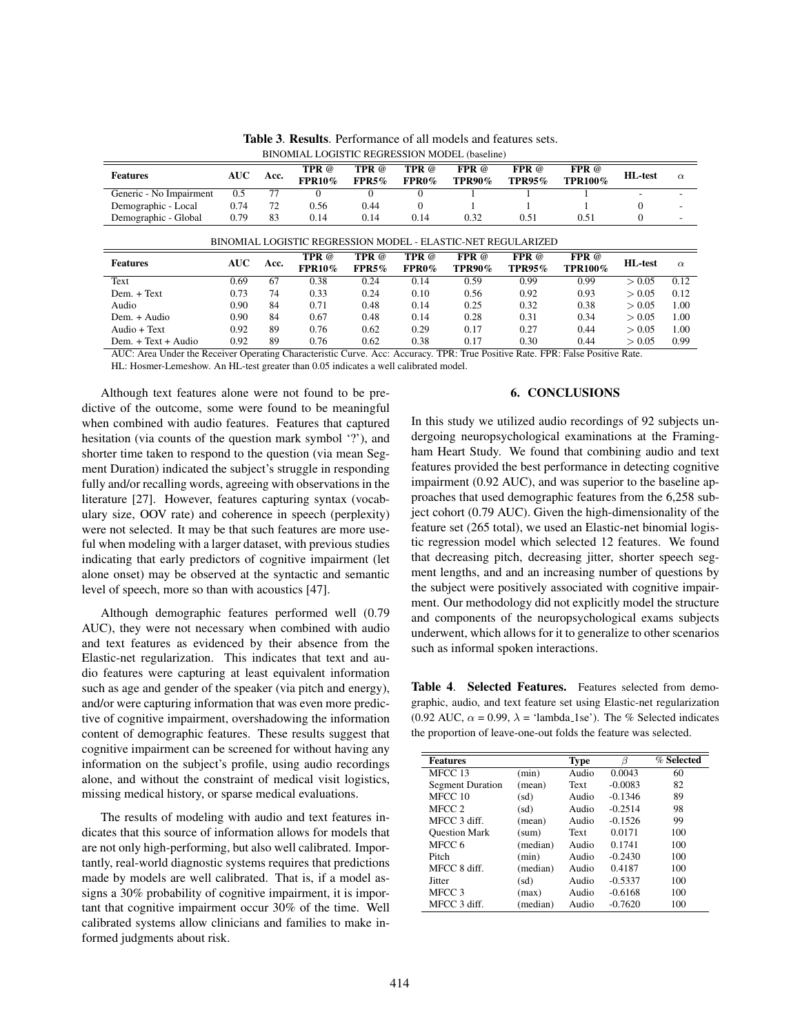| <b>Features</b>                                              | AUC  | Acc. | TPR @<br><b>FPR10%</b> | <b>TPR</b> @<br>FPR5% | TPR @<br>$FPR0\%$ | $FPR$ @<br><b>TPR90%</b> | FPR @<br>TPR95 $%$ | FPR @<br><b>TPR100%</b> | <b>HL-test</b> | $\alpha$                 |
|--------------------------------------------------------------|------|------|------------------------|-----------------------|-------------------|--------------------------|--------------------|-------------------------|----------------|--------------------------|
| Generic - No Impairment                                      | 0.5  | 77   |                        |                       |                   |                          |                    |                         |                |                          |
| Demographic - Local                                          | 0.74 | 72   | 0.56                   | 0.44                  |                   |                          |                    |                         | $\Omega$       | $\overline{\phantom{a}}$ |
| Demographic - Global                                         | 0.79 | 83   | 0.14                   | 0.14                  | 0.14              | 0.32                     | 0.51               | 0.51                    | $\theta$       |                          |
| BINOMIAL LOGISTIC REGRESSION MODEL - ELASTIC-NET REGULARIZED |      |      |                        |                       |                   |                          |                    |                         |                |                          |
|                                                              |      |      | TPR @                  | TPR @                 | <b>TPR</b> @      | $FPR$ @                  | $FPR \omega$       | $FPR \omega$            |                |                          |

Text 0.69 67 0.38 0.24 0.14 0.59 0.99 0.99  $> 0.05$  0.12 Dem. + Text  $0.73$   $74$   $0.33$   $0.24$   $0.10$   $0.56$   $0.92$   $0.93$   $> 0.05$   $0.12$ Audio 0.90 84 0.71 0.48 0.14 0.25 0.32 0.38 > 0.05 1.00 Dem. + Audio 0.90 84 0.67 0.48 0.14 0.28 0.31 0.34 > 0.05 1.00 Audio + Text 0.92 89 0.76 0.62 0.29 0.17 0.27 0.44 > 0.05 1.00

FPR0%

TPR90%

TPR95%

Table 3. Results. Performance of all models and features sets. BINOMIAL LOGISTIC REGRESSION MODEL (baseline)

Dem. + Text + Audio 0.92 89 0.76 0.62 0.38 0.17 0.30 0.44 > 0.05 0.99 AUC: Area Under the Receiver Operating Characteristic Curve. Acc: Accuracy. TPR: True Positive Rate. FPR: False Positive Rate.

FPR5%

HL: Hosmer-Lemeshow. An HL-test greater than 0.05 indicates a well calibrated model.

FPR10%

Although text features alone were not found to be predictive of the outcome, some were found to be meaningful when combined with audio features. Features that captured hesitation (via counts of the question mark symbol '?'), and shorter time taken to respond to the question (via mean Segment Duration) indicated the subject's struggle in responding fully and/or recalling words, agreeing with observations in the literature [27]. However, features capturing syntax (vocabulary size, OOV rate) and coherence in speech (perplexity) were not selected. It may be that such features are more useful when modeling with a larger dataset, with previous studies indicating that early predictors of cognitive impairment (let alone onset) may be observed at the syntactic and semantic level of speech, more so than with acoustics [47].

Features  $AUC$  Acc. TPR  $@$ 

Although demographic features performed well (0.79 AUC), they were not necessary when combined with audio and text features as evidenced by their absence from the Elastic-net regularization. This indicates that text and audio features were capturing at least equivalent information such as age and gender of the speaker (via pitch and energy), and/or were capturing information that was even more predictive of cognitive impairment, overshadowing the information content of demographic features. These results suggest that cognitive impairment can be screened for without having any information on the subject's profile, using audio recordings alone, and without the constraint of medical visit logistics, missing medical history, or sparse medical evaluations.

The results of modeling with audio and text features indicates that this source of information allows for models that are not only high-performing, but also well calibrated. Importantly, real-world diagnostic systems requires that predictions made by models are well calibrated. That is, if a model assigns a 30% probability of cognitive impairment, it is important that cognitive impairment occur 30% of the time. Well calibrated systems allow clinicians and families to make informed judgments about risk.

### 6. CONCLUSIONS

TPR100% HL-test  $\alpha$ 

In this study we utilized audio recordings of 92 subjects undergoing neuropsychological examinations at the Framingham Heart Study. We found that combining audio and text features provided the best performance in detecting cognitive impairment (0.92 AUC), and was superior to the baseline approaches that used demographic features from the 6,258 subject cohort (0.79 AUC). Given the high-dimensionality of the feature set (265 total), we used an Elastic-net binomial logistic regression model which selected 12 features. We found that decreasing pitch, decreasing jitter, shorter speech segment lengths, and and an increasing number of questions by the subject were positively associated with cognitive impairment. Our methodology did not explicitly model the structure and components of the neuropsychological exams subjects underwent, which allows for it to generalize to other scenarios such as informal spoken interactions.

Table 4. Selected Features. Features selected from demographic, audio, and text feature set using Elastic-net regularization (0.92 AUC,  $\alpha$  = 0.99,  $\lambda$  = 'lambda\_1se'). The % Selected indicates the proportion of leave-one-out folds the feature was selected.

| <b>Features</b>         |          | <b>Type</b> | ß         | $%$ Selected |
|-------------------------|----------|-------------|-----------|--------------|
| MFCC 13                 | (min)    | Audio       | 0.0043    | 60           |
| <b>Segment Duration</b> | (mean)   | Text        | $-0.0083$ | 82           |
| MFCC 10                 | (sd)     | Audio       | $-0.1346$ | 89           |
| MFCC 2                  | (sd)     | Audio       | $-0.2514$ | 98           |
| MFCC 3 diff.            | (mean)   | Audio       | $-0.1526$ | 99           |
| <b>Ouestion Mark</b>    | (sum)    | Text        | 0.0171    | 100          |
| MFCC 6                  | (median) | Audio       | 0.1741    | 100          |
| Pitch                   | (min)    | Audio       | $-0.2430$ | 100          |
| MFCC 8 diff.            | (median) | Audio       | 0.4187    | 100          |
| Jitter                  | (sd)     | Audio       | $-0.5337$ | 100          |
| MFCC 3                  | (max)    | Audio       | $-0.6168$ | 100          |
| MFCC 3 diff.            | (median) | Audio       | $-0.7620$ | 100          |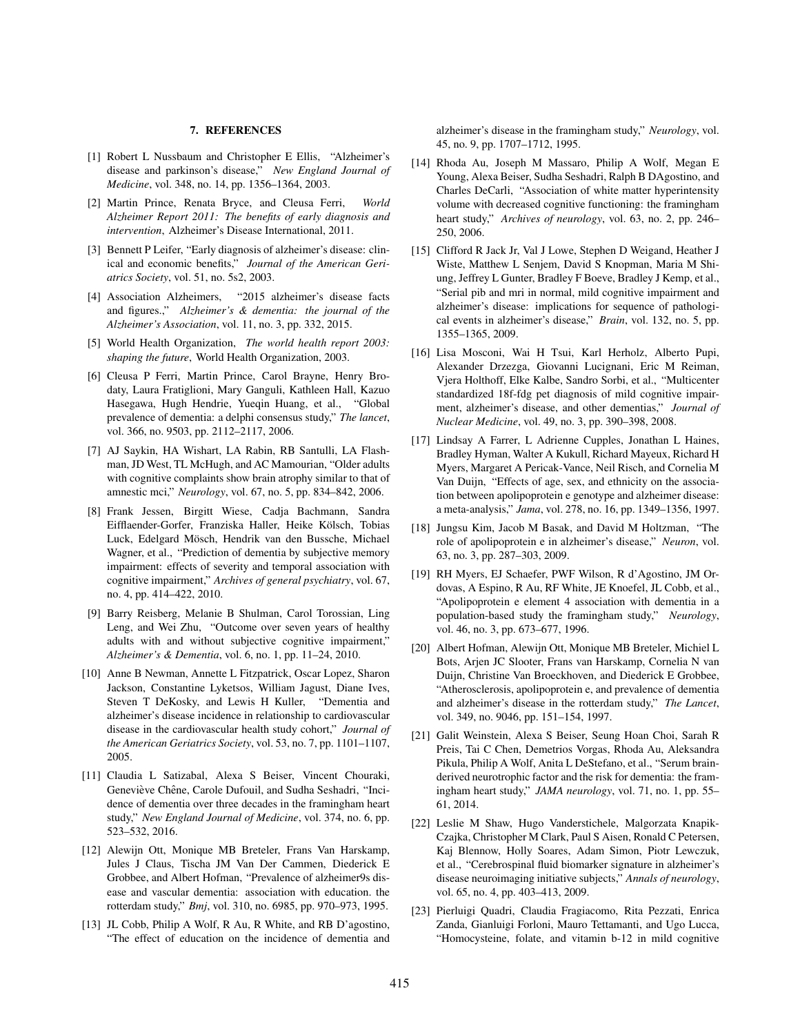#### 7. REFERENCES

- [1] Robert L Nussbaum and Christopher E Ellis, "Alzheimer's disease and parkinson's disease," *New England Journal of Medicine*, vol. 348, no. 14, pp. 1356–1364, 2003.
- [2] Martin Prince, Renata Bryce, and Cleusa Ferri, *World Alzheimer Report 2011: The benefits of early diagnosis and intervention*, Alzheimer's Disease International, 2011.
- [3] Bennett P Leifer, "Early diagnosis of alzheimer's disease: clinical and economic benefits," *Journal of the American Geriatrics Society*, vol. 51, no. 5s2, 2003.
- [4] Association Alzheimers, "2015 alzheimer's disease facts and figures.," *Alzheimer's & dementia: the journal of the Alzheimer's Association*, vol. 11, no. 3, pp. 332, 2015.
- [5] World Health Organization, *The world health report 2003: shaping the future*, World Health Organization, 2003.
- [6] Cleusa P Ferri, Martin Prince, Carol Brayne, Henry Brodaty, Laura Fratiglioni, Mary Ganguli, Kathleen Hall, Kazuo Hasegawa, Hugh Hendrie, Yueqin Huang, et al., "Global prevalence of dementia: a delphi consensus study," *The lancet*, vol. 366, no. 9503, pp. 2112–2117, 2006.
- [7] AJ Saykin, HA Wishart, LA Rabin, RB Santulli, LA Flashman, JD West, TL McHugh, and AC Mamourian, "Older adults with cognitive complaints show brain atrophy similar to that of amnestic mci," *Neurology*, vol. 67, no. 5, pp. 834–842, 2006.
- [8] Frank Jessen, Birgitt Wiese, Cadja Bachmann, Sandra Eifflaender-Gorfer, Franziska Haller, Heike Kölsch, Tobias Luck, Edelgard Mösch, Hendrik van den Bussche, Michael Wagner, et al., "Prediction of dementia by subjective memory impairment: effects of severity and temporal association with cognitive impairment," *Archives of general psychiatry*, vol. 67, no. 4, pp. 414–422, 2010.
- [9] Barry Reisberg, Melanie B Shulman, Carol Torossian, Ling Leng, and Wei Zhu, "Outcome over seven years of healthy adults with and without subjective cognitive impairment," *Alzheimer's & Dementia*, vol. 6, no. 1, pp. 11–24, 2010.
- [10] Anne B Newman, Annette L Fitzpatrick, Oscar Lopez, Sharon Jackson, Constantine Lyketsos, William Jagust, Diane Ives, Steven T DeKosky, and Lewis H Kuller, "Dementia and alzheimer's disease incidence in relationship to cardiovascular disease in the cardiovascular health study cohort," *Journal of the American Geriatrics Society*, vol. 53, no. 7, pp. 1101–1107, 2005.
- [11] Claudia L Satizabal, Alexa S Beiser, Vincent Chouraki, Geneviève Chêne, Carole Dufouil, and Sudha Seshadri, "Incidence of dementia over three decades in the framingham heart study," *New England Journal of Medicine*, vol. 374, no. 6, pp. 523–532, 2016.
- [12] Alewijn Ott, Monique MB Breteler, Frans Van Harskamp, Jules J Claus, Tischa JM Van Der Cammen, Diederick E Grobbee, and Albert Hofman, "Prevalence of alzheimer9s disease and vascular dementia: association with education. the rotterdam study," *Bmj*, vol. 310, no. 6985, pp. 970–973, 1995.
- [13] JL Cobb, Philip A Wolf, R Au, R White, and RB D'agostino, "The effect of education on the incidence of dementia and

alzheimer's disease in the framingham study," *Neurology*, vol. 45, no. 9, pp. 1707–1712, 1995.

- [14] Rhoda Au, Joseph M Massaro, Philip A Wolf, Megan E Young, Alexa Beiser, Sudha Seshadri, Ralph B DAgostino, and Charles DeCarli, "Association of white matter hyperintensity volume with decreased cognitive functioning: the framingham heart study," *Archives of neurology*, vol. 63, no. 2, pp. 246– 250, 2006.
- [15] Clifford R Jack Jr, Val J Lowe, Stephen D Weigand, Heather J Wiste, Matthew L Senjem, David S Knopman, Maria M Shiung, Jeffrey L Gunter, Bradley F Boeve, Bradley J Kemp, et al., "Serial pib and mri in normal, mild cognitive impairment and alzheimer's disease: implications for sequence of pathological events in alzheimer's disease," *Brain*, vol. 132, no. 5, pp. 1355–1365, 2009.
- [16] Lisa Mosconi, Wai H Tsui, Karl Herholz, Alberto Pupi, Alexander Drzezga, Giovanni Lucignani, Eric M Reiman, Vjera Holthoff, Elke Kalbe, Sandro Sorbi, et al., "Multicenter standardized 18f-fdg pet diagnosis of mild cognitive impairment, alzheimer's disease, and other dementias," *Journal of Nuclear Medicine*, vol. 49, no. 3, pp. 390–398, 2008.
- [17] Lindsay A Farrer, L Adrienne Cupples, Jonathan L Haines, Bradley Hyman, Walter A Kukull, Richard Mayeux, Richard H Myers, Margaret A Pericak-Vance, Neil Risch, and Cornelia M Van Duijn, "Effects of age, sex, and ethnicity on the association between apolipoprotein e genotype and alzheimer disease: a meta-analysis," *Jama*, vol. 278, no. 16, pp. 1349–1356, 1997.
- [18] Jungsu Kim, Jacob M Basak, and David M Holtzman, "The role of apolipoprotein e in alzheimer's disease," *Neuron*, vol. 63, no. 3, pp. 287–303, 2009.
- [19] RH Myers, EJ Schaefer, PWF Wilson, R d'Agostino, JM Ordovas, A Espino, R Au, RF White, JE Knoefel, JL Cobb, et al., "Apolipoprotein e element 4 association with dementia in a population-based study the framingham study," *Neurology*, vol. 46, no. 3, pp. 673–677, 1996.
- [20] Albert Hofman, Alewijn Ott, Monique MB Breteler, Michiel L Bots, Arjen JC Slooter, Frans van Harskamp, Cornelia N van Duijn, Christine Van Broeckhoven, and Diederick E Grobbee, "Atherosclerosis, apolipoprotein e, and prevalence of dementia and alzheimer's disease in the rotterdam study," *The Lancet*, vol. 349, no. 9046, pp. 151–154, 1997.
- [21] Galit Weinstein, Alexa S Beiser, Seung Hoan Choi, Sarah R Preis, Tai C Chen, Demetrios Vorgas, Rhoda Au, Aleksandra Pikula, Philip A Wolf, Anita L DeStefano, et al., "Serum brainderived neurotrophic factor and the risk for dementia: the framingham heart study," *JAMA neurology*, vol. 71, no. 1, pp. 55– 61, 2014.
- [22] Leslie M Shaw, Hugo Vanderstichele, Malgorzata Knapik-Czajka, Christopher M Clark, Paul S Aisen, Ronald C Petersen, Kaj Blennow, Holly Soares, Adam Simon, Piotr Lewczuk, et al., "Cerebrospinal fluid biomarker signature in alzheimer's disease neuroimaging initiative subjects," *Annals of neurology*, vol. 65, no. 4, pp. 403–413, 2009.
- [23] Pierluigi Quadri, Claudia Fragiacomo, Rita Pezzati, Enrica Zanda, Gianluigi Forloni, Mauro Tettamanti, and Ugo Lucca, "Homocysteine, folate, and vitamin b-12 in mild cognitive